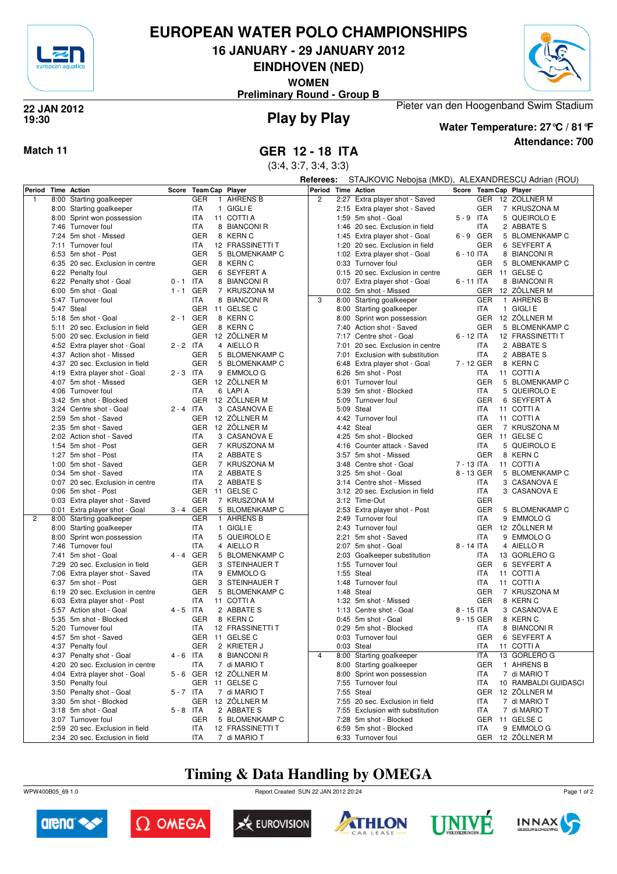

## **EUROPEAN WATER POLO CHAMPIONSHIPS**

**16 JANUARY - 29 JANUARY 2012**

**EINDHOVEN (NED)**

**WOMEN**

**Preliminary Round - Group B**



### **Play by Play 22 JAN 2012 19:30**



# **Water Temperature: 27°C / 81°F**

Pieter van den Hoogenband Swim Stadium

**Attendance: 700**

(3:4, 3:7, 3:4, 3:3)

|                    |                                  |             |                            |                  | Referees:          |                                  | STAJKOVIC Nebojsa (MKD), ALEXANDRESCU Adrian (ROU) |            |                       |  |  |
|--------------------|----------------------------------|-------------|----------------------------|------------------|--------------------|----------------------------------|----------------------------------------------------|------------|-----------------------|--|--|
| Period Time Action |                                  |             | Score Team Cap Player      |                  | Period Time Action |                                  |                                                    |            | Score Team Cap Player |  |  |
| $\mathbf{1}$       | 8:00 Starting goalkeeper         |             | <b>GER</b><br>$\mathbf{1}$ | <b>AHRENS B</b>  | $\overline{2}$     | 2:27 Extra player shot - Saved   |                                                    |            | GER 12 ZÖLLNER M      |  |  |
|                    | 8:00 Starting goalkeeper         |             | <b>ITA</b>                 | 1 GIGLI E        |                    | 2:15 Extra player shot - Saved   |                                                    | <b>GER</b> | 7 KRUSZONA M          |  |  |
|                    | 8:00 Sprint won possession       |             | <b>ITA</b>                 | 11 COTTI A       |                    | 1:59 5m shot - Goal              | $5 - 9$ ITA                                        |            | 5 QUEIROLO E          |  |  |
|                    | 7:46 Turnover foul               |             | <b>ITA</b>                 | 8 BIANCONI R     |                    | 1:46 20 sec. Exclusion in field  |                                                    | ITA        | 2 ABBATE S            |  |  |
|                    | 7:24 5m shot - Missed            |             | <b>GER</b>                 | 8 KERN C         |                    | 1:45 Extra player shot - Goal    | $6 - 9$                                            | GER        | 5 BLOMENKAMP C        |  |  |
|                    | 7:11 Turnover foul               |             | ITA                        | 12 FRASSINETTI T |                    | 1:20 20 sec. Exclusion in field  |                                                    | <b>GER</b> | 6 SEYFERT A           |  |  |
|                    | 6:53 5m shot - Post              |             | <b>GER</b>                 | 5 BLOMENKAMP C   |                    | 1:02 Extra player shot - Goal    | $6 - 10$ ITA                                       |            | 8 BIANCONI R          |  |  |
|                    | 6:35 20 sec. Exclusion in centre |             | <b>GER</b>                 | 8 KERN C         |                    | 0:33 Turnover foul               |                                                    | <b>GER</b> | 5 BLOMENKAMP C        |  |  |
|                    | 6:22 Penalty foul                |             | <b>GER</b>                 | 6 SEYFERT A      |                    | 0:15 20 sec. Exclusion in centre |                                                    | <b>GER</b> | 11 GELSE C            |  |  |
|                    | 6:22 Penalty shot - Goal         | $0 - 1$ ITA |                            | 8 BIANCONI R     |                    | 0:07 Extra player shot - Goal    | 6 - 11 ITA                                         |            | 8 BIANCONI R          |  |  |
|                    | 6:00 5m shot - Goal              | 1-1 GER     |                            | 7 KRUSZONA M     |                    | 0:02 5m shot - Missed            |                                                    | <b>GER</b> | 12 ZÖLLNER M          |  |  |
|                    | 5:47 Turnover foul               |             | ITA                        | 8 BIANCONI R     | 3                  | 8:00 Starting goalkeeper         |                                                    | <b>GER</b> | 1 AHRENS B            |  |  |
|                    |                                  |             |                            |                  |                    |                                  |                                                    |            |                       |  |  |
|                    | 5:47 Steal                       | 2-1 GER     |                            | GER 11 GELSE C   |                    | 8:00 Starting goalkeeper         |                                                    | ITA        | 1 GIGLI E             |  |  |
|                    | 5:18 5m shot - Goal              |             |                            | 8 KERN C         |                    | 8:00 Sprint won possession       |                                                    | <b>GER</b> | 12 ZÖLLNER M          |  |  |
|                    | 5:11 20 sec. Exclusion in field  |             | <b>GER</b>                 | 8 KERN C         |                    | 7:40 Action shot - Saved         |                                                    | GER        | 5 BLOMENKAMP C        |  |  |
|                    | 5:00 20 sec. Exclusion in field  |             |                            | GER 12 ZÖLLNER M |                    | 7:17 Centre shot - Goal          | 6 - 12 ITA                                         |            | 12 FRASSINETTI T      |  |  |
|                    | 4:52 Extra player shot - Goal    | $2 - 2$ ITA |                            | 4 AIELLOR        |                    | 7:01 20 sec. Exclusion in centre |                                                    | ITA        | 2 ABBATE S            |  |  |
|                    | 4:37 Action shot - Missed        |             | <b>GER</b>                 | 5 BLOMENKAMP C   |                    | 7:01 Exclusion with substitution |                                                    | ITA        | 2 ABBATE S            |  |  |
|                    | 4:37 20 sec. Exclusion in field  |             | <b>GER</b>                 | 5 BLOMENKAMP C   |                    | 6:48 Extra player shot - Goal    | 7 - 12 GER                                         |            | 8 KERN C              |  |  |
|                    | 4:19 Extra player shot - Goal    | $2 - 3$ ITA |                            | 9 EMMOLO G       |                    | 6:26 5m shot - Post              |                                                    | <b>ITA</b> | 11 COTTI A            |  |  |
|                    | 4:07 5m shot - Missed            |             | <b>GER</b>                 | 12 ZÖLLNER M     |                    | 6:01 Turnover foul               |                                                    | <b>GER</b> | 5 BLOMENKAMP C        |  |  |
|                    | 4:06 Turnover foul               |             | <b>ITA</b>                 | 6 LAPIA          |                    | 5:39 5m shot - Blocked           |                                                    | <b>ITA</b> | 5 QUEIROLO E          |  |  |
|                    | 3:42 5m shot - Blocked           |             |                            | GER 12 ZÖLLNER M |                    | 5:09 Turnover foul               |                                                    | <b>GER</b> | 6 SEYFERT A           |  |  |
|                    | 3:24 Centre shot - Goal          | $2 - 4$ ITA |                            | 3 CASANOVA E     |                    | 5:09 Steal                       |                                                    | ITA        | 11 COTTI A            |  |  |
|                    | 2:59 5m shot - Saved             |             |                            | GER 12 ZÖLLNER M |                    | 4:42 Turnover foul               |                                                    | ITA        | 11 COTTI A            |  |  |
|                    | 2:35 5m shot - Saved             |             |                            | GER 12 ZÖLLNER M |                    | 4:42 Steal                       |                                                    | <b>GER</b> | 7 KRUSZONA M          |  |  |
|                    | 2:02 Action shot - Saved         |             | ITA                        | 3 CASANOVA E     |                    | 4:25 5m shot - Blocked           |                                                    | <b>GER</b> | 11 GELSE C            |  |  |
|                    | 1:54 5m shot - Post              |             | <b>GER</b>                 | 7 KRUSZONA M     |                    | 4:16 Counter attack - Saved      |                                                    | ITA        | 5 QUEIROLO E          |  |  |
|                    | 1:27 5m shot - Post              |             | <b>ITA</b>                 | 2 ABBATE S       |                    | 3:57 5m shot - Missed            |                                                    | <b>GER</b> | 8 KERN C              |  |  |
|                    | 1:00 5m shot - Saved             |             | <b>GER</b>                 | 7 KRUSZONA M     |                    | 3:48 Centre shot - Goal          | 7 - 13 ITA                                         |            | 11 COTTI A            |  |  |
|                    | 0:34 5m shot - Saved             |             | ITA                        | 2 ABBATE S       |                    | 3:25 5m shot - Goal              | 8 - 13 GER                                         |            | 5 BLOMENKAMP C        |  |  |
|                    | 0:07 20 sec. Exclusion in centre |             | <b>ITA</b>                 | 2 ABBATE S       |                    | 3:14 Centre shot - Missed        |                                                    | ITA        | 3 CASANOVA E          |  |  |
|                    | 0:06 5m shot - Post              |             | <b>GER</b>                 | 11 GELSE C       |                    | 3:12 20 sec. Exclusion in field  |                                                    | ITA        | 3 CASANOVA E          |  |  |
|                    | 0:03 Extra player shot - Saved   |             | <b>GER</b>                 | 7 KRUSZONA M     |                    | 3:12 Time-Out                    |                                                    | <b>GER</b> |                       |  |  |
|                    | 0:01 Extra player shot - Goal    | 3-4 GER     |                            | 5 BLOMENKAMP C   |                    | 2:53 Extra player shot - Post    |                                                    | <b>GER</b> | 5 BLOMENKAMP C        |  |  |
| $\overline{c}$     | 8:00 Starting goalkeeper         |             | <b>GER</b>                 | 1 AHRENS B       |                    | 2:49 Turnover foul               |                                                    | <b>ITA</b> | 9 EMMOLO G            |  |  |
|                    | 8:00 Starting goalkeeper         |             | ITA                        | 1 GIGLI E        |                    | 2:43 Turnover foul               |                                                    | GER        | 12 ZÖLLNER M          |  |  |
|                    | 8:00 Sprint won possession       |             | <b>ITA</b>                 | 5 QUEIROLO E     |                    | 2:21 5m shot - Saved             |                                                    | <b>ITA</b> | 9 EMMOLO G            |  |  |
|                    | 7:46 Turnover foul               |             | <b>ITA</b>                 | 4 AIELLOR        |                    | 2:07 5m shot - Goal              | 8 - 14 ITA                                         |            | 4 AIELLOR             |  |  |
|                    | 7:41 5m shot - Goal              | 4-4 GER     |                            | 5 BLOMENKAMP C   |                    | 2:03 Goalkeeper substitution     |                                                    | ITA        | 13 GORLERO G          |  |  |
|                    | 7:29 20 sec. Exclusion in field  |             | <b>GER</b>                 | 3 STEINHAUER T   |                    | 1:55 Turnover foul               |                                                    | <b>GER</b> | 6 SEYFERT A           |  |  |
|                    | 7:06 Extra player shot - Saved   |             | ITA                        | 9 EMMOLO G       |                    | 1:55 Steal                       |                                                    | ITA        | 11 COTTI A            |  |  |
|                    | 6:37 5m shot - Post              |             | <b>GER</b>                 | 3 STEINHAUER T   |                    | 1:48 Turnover foul               |                                                    | ITA        | 11 COTTI A            |  |  |
|                    | 6:19 20 sec. Exclusion in centre |             | <b>GER</b>                 | 5 BLOMENKAMP C   |                    | 1:48 Steal                       |                                                    | <b>GER</b> | 7 KRUSZONA M          |  |  |
|                    | 6:03 Extra player shot - Post    |             | ITA                        | 11 COTTI A       |                    | 1:32 5m shot - Missed            |                                                    | <b>GER</b> | 8 KERN C              |  |  |
|                    | 5:57 Action shot - Goal          | $4 - 5$ ITA |                            | 2 ABBATE S       |                    | 1:13 Centre shot - Goal          | 8 - 15 ITA                                         |            | 3 CASANOVA E          |  |  |
|                    | 5:35 5m shot - Blocked           |             | <b>GER</b>                 | 8 KERN C         |                    | 0:45 5m shot - Goal              | 9 - 15 GER                                         |            | 8 KERN C              |  |  |
|                    | 5:20 Turnover foul               |             | ITA                        | 12 FRASSINETTI T |                    | 0:29 5m shot - Blocked           |                                                    | <b>ITA</b> | 8 BIANCONI R          |  |  |
|                    | 4:57 5m shot - Saved             |             | GER                        | 11 GELSE C       |                    | 0:03 Turnover foul               |                                                    | <b>GER</b> | 6 SEYFERT A           |  |  |
|                    | 4:37 Penalty foul                |             | GER                        | 2 KRIETER J      |                    | 0:03 Steal                       |                                                    | <b>ITA</b> | 11 COTTI A            |  |  |
|                    | 4:37 Penalty shot - Goal         | $4 - 6$ ITA |                            | 8 BIANCONI R     | $\overline{4}$     | 8:00 Starting goalkeeper         |                                                    | <b>ITA</b> | 13 GORLERO G          |  |  |
|                    | 4:20 20 sec. Exclusion in centre |             | <b>ITA</b>                 | 7 di MARIO T     |                    | 8:00 Starting goalkeeper         |                                                    | <b>GER</b> | 1 AHRENS B            |  |  |
|                    | 4:04 Extra player shot - Goal    | 5-6 GER     |                            | 12 ZÖLLNER M     |                    | 8:00 Sprint won possession       |                                                    | ITA        | 7 di MARIO T          |  |  |
|                    | 3:50 Penalty foul                |             | GER                        | 11 GELSE C       |                    | 7:55 Turnover foul               |                                                    | ITA        | 10 RAMBALDI GUIDASCI  |  |  |
|                    | 3:50 Penalty shot - Goal         | $5 - 7$ ITA |                            | 7 di MARIO T     |                    | 7:55 Steal                       |                                                    | <b>GER</b> | 12 ZÖLLNER M          |  |  |
|                    | 3:30 5m shot - Blocked           |             |                            | GER 12 ZÖLLNER M |                    | 7:55 20 sec. Exclusion in field  |                                                    | ITA        | 7 di MARIO T          |  |  |
|                    | 3:18 5m shot - Goal              | $5 - 8$ ITA |                            | 2 ABBATE S       |                    | 7:55 Exclusion with substitution |                                                    | ITA        | 7 di MARIO T          |  |  |
|                    | 3:07 Turnover foul               |             | GER                        | 5 BLOMENKAMP C   |                    | 7:28 5m shot - Blocked           |                                                    |            | GER 11 GELSE C        |  |  |
|                    | 2:59 20 sec. Exclusion in field  |             | <b>ITA</b>                 | 12 FRASSINETTI T |                    | 6:59 5m shot - Blocked           |                                                    | ITA        | 9 EMMOLO G            |  |  |
|                    | 2:34 20 sec. Exclusion in field  |             | ITA                        | 7 di MARIO T     |                    | 6:33 Turnover foul               |                                                    |            | GER 12 ZÖLLNER M      |  |  |

## **Timing & Data Handling by OMEGA**

WPW400B05\_69 1.0 Report Created SUN 22 JAN 2012 20:24













Page 1 of 2